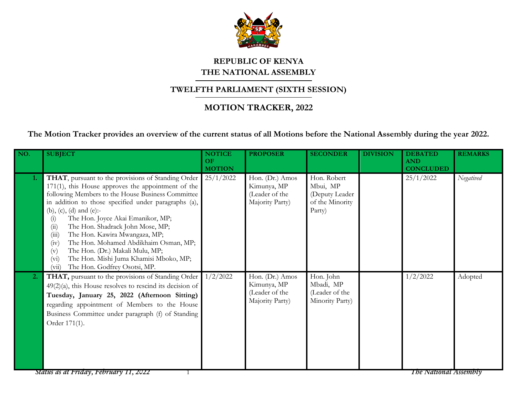

## **REPUBLIC OF KENYA THE NATIONAL ASSEMBLY**

## **TWELFTH PARLIAMENT (SIXTH SESSION)**

## **MOTION TRACKER, 2022**

**The Motion Tracker provides an overview of the current status of all Motions before the National Assembly during the year 2022.**

| NO.              | <b>SUBJECT</b>                                                                                                                                                                                                                                                                                                                                                                                                                                                                                                                                                                         | <b>NOTICE</b><br>OF<br><b>MOTION</b> | <b>PROPOSER</b>                                                     | <b>SECONDER</b>                                                         | <b>DIVISION</b> | <b>DEBATED</b><br><b>AND</b><br><b>CONCLUDED</b> | <b>REMARKS</b> |
|------------------|----------------------------------------------------------------------------------------------------------------------------------------------------------------------------------------------------------------------------------------------------------------------------------------------------------------------------------------------------------------------------------------------------------------------------------------------------------------------------------------------------------------------------------------------------------------------------------------|--------------------------------------|---------------------------------------------------------------------|-------------------------------------------------------------------------|-----------------|--------------------------------------------------|----------------|
| 1.               | THAT, pursuant to the provisions of Standing Order<br>171(1), this House approves the appointment of the<br>following Members to the House Business Committee<br>in addition to those specified under paragraphs (a),<br>(b), (c), (d) and (e):-<br>The Hon. Joyce Akai Emanikor, MP;<br>(i)<br>The Hon. Shadrack John Mose, MP;<br>(ii)<br>The Hon. Kawira Mwangaza, MP;<br>(iii)<br>The Hon. Mohamed Abdikhaim Osman, MP;<br>(iv)<br>The Hon. (Dr.) Makali Mulu, MP;<br>$(\mathrm{v})$<br>The Hon. Mishi Juma Khamisi Mboko, MP;<br>$(v_i)$<br>The Hon. Godfrey Osotsi, MP.<br>(vii) | 25/1/2022                            | Hon. (Dr.) Amos<br>Kimunya, MP<br>(Leader of the<br>Majority Party) | Hon. Robert<br>Mbui, MP<br>(Deputy Leader)<br>of the Minority<br>Party) |                 | 25/1/2022                                        | Negatived      |
| $\overline{2}$ . | THAT, pursuant to the provisions of Standing Order<br>$49(2)(a)$ , this House resolves to rescind its decision of<br>Tuesday, January 25, 2022 (Afternoon Sitting)<br>regarding appointment of Members to the House<br>Business Committee under paragraph (f) of Standing<br>Order 171(1).                                                                                                                                                                                                                                                                                             | 1/2/2022                             | Hon. (Dr.) Amos<br>Kimunya, MP<br>(Leader of the<br>Majority Party) | Hon. John<br>Mbadi, MP<br>(Leader of the<br>Minority Party)             |                 | 1/2/2022                                         | Adopted        |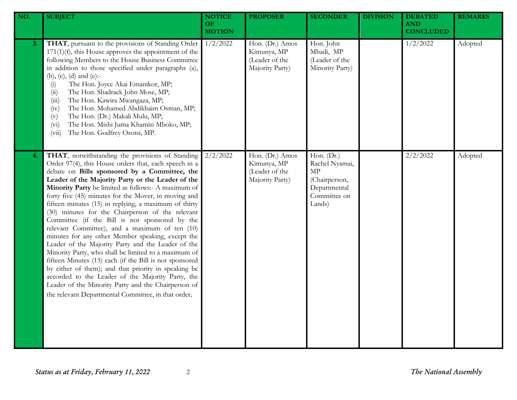| NO. | <b>SUBJECT</b>                                                                                                                                                                                                                                                                                                                                                                                                                                                                                                                                                                                                                                                                                                                                                                                                                                                                                                                                                                                           | <b>NOTICE</b><br>OF<br><b>MOTION</b> | <b>PROPOSER</b>                                                     | <b>SECONDER</b>                                                                               | <b>DIVISION</b> | <b>DEBATED</b><br><b>AND</b><br><b>CONCLUDED</b> | <b>REMARKS</b> |
|-----|----------------------------------------------------------------------------------------------------------------------------------------------------------------------------------------------------------------------------------------------------------------------------------------------------------------------------------------------------------------------------------------------------------------------------------------------------------------------------------------------------------------------------------------------------------------------------------------------------------------------------------------------------------------------------------------------------------------------------------------------------------------------------------------------------------------------------------------------------------------------------------------------------------------------------------------------------------------------------------------------------------|--------------------------------------|---------------------------------------------------------------------|-----------------------------------------------------------------------------------------------|-----------------|--------------------------------------------------|----------------|
| 3.  | THAT, pursuant to the provisions of Standing Order<br>$171(1)(f)$ , this House approves the appointment of the<br>following Members to the House Business Committee<br>in addition to those specified under paragraphs (a),<br>(b), (c), (d) and (e):-<br>The Hon. Joyce Akai Emanikor, MP;<br>(i)<br>The Hon. Shadrack John Mose, MP;<br>(ii)<br>The Hon. Kawira Mwangaza, MP;<br>(iii)<br>The Hon. Mohamed Abdikhaim Osman, MP;<br>(iv)<br>The Hon. (Dr.) Makali Mulu, MP;<br>(v)<br>The Hon. Mishi Juma Khamisi Mboko, MP;<br>(v <sub>i</sub> )<br>The Hon. Godfrey Osotsi, MP.<br>(vii)                                                                                                                                                                                                                                                                                                                                                                                                              | 1/2/2022                             | Hon. (Dr.) Amos<br>Kimunya, MP<br>(Leader of the<br>Majority Party) | Hon. John<br>Mbadi, MP<br>(Leader of the<br>Minority Party)                                   |                 | 1/2/2022                                         | Adopted        |
| 4.  | THAT, notwithstanding the provisions of Standing<br>Order 97(4), this House orders that, each speech in a<br>debate on Bills sponsored by a Committee, the<br>Leader of the Majority Party or the Leader of the<br>Minority Party be limited as follows:- A maximum of<br>forty five (45) minutes for the Mover, in moving and<br>fifteen minutes (15) in replying, a maximum of thirty<br>(30) minutes for the Chairperson of the relevant<br>Committee (if the Bill is not sponsored by the<br>relevant Committee), and a maximum of ten (10)<br>minutes for any other Member speaking, except the<br>Leader of the Majority Party and the Leader of the<br>Minority Party, who shall be limited to a maximum of<br>fifteen Minutes (15) each (if the Bill is not sponsored<br>by either of them); and that priority in speaking be<br>accorded to the Leader of the Majority Party, the<br>Leader of the Minority Party and the Chairperson of<br>the relevant Departmental Committee, in that order. | 2/2/2022                             | Hon. (Dr.) Amos<br>Kimunya, MP<br>(Leader of the<br>Majority Party) | Hon. (Dr.)<br>Rachel Nyamai,<br>MP<br>(Chairperson,<br>Departmental<br>Committee on<br>Lands) |                 | 2/2/2022                                         | Adopted        |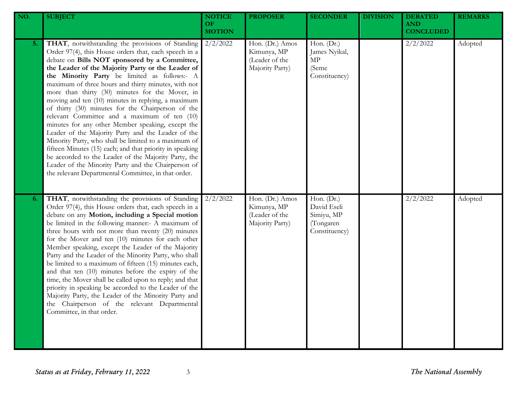| NO. | <b>SUBJECT</b>                                                                                                                                                                                                                                                                                                                                                                                                                                                                                                                                                                                                                                                                                                                                                                                                                                                                                                                            | <b>NOTICE</b><br><b>OF</b><br><b>MOTION</b> | <b>PROPOSER</b>                                                     | <b>SECONDER</b>                                                       | <b>DIVISION</b> | <b>DEBATED</b><br><b>AND</b><br><b>CONCLUDED</b> | <b>REMARKS</b> |
|-----|-------------------------------------------------------------------------------------------------------------------------------------------------------------------------------------------------------------------------------------------------------------------------------------------------------------------------------------------------------------------------------------------------------------------------------------------------------------------------------------------------------------------------------------------------------------------------------------------------------------------------------------------------------------------------------------------------------------------------------------------------------------------------------------------------------------------------------------------------------------------------------------------------------------------------------------------|---------------------------------------------|---------------------------------------------------------------------|-----------------------------------------------------------------------|-----------------|--------------------------------------------------|----------------|
| 5.  | THAT, notwithstanding the provisions of Standing<br>Order 97(4), this House orders that, each speech in a<br>debate on Bills NOT sponsored by a Committee,<br>the Leader of the Majority Party or the Leader of<br>the Minority Party be limited as follows:- A<br>maximum of three hours and thirty minutes, with not<br>more than thirty (30) minutes for the Mover, in<br>moving and ten (10) minutes in replying, a maximum<br>of thirty (30) minutes for the Chairperson of the<br>relevant Committee and a maximum of ten (10)<br>minutes for any other Member speaking, except the<br>Leader of the Majority Party and the Leader of the<br>Minority Party, who shall be limited to a maximum of<br>fifteen Minutes (15) each; and that priority in speaking<br>be accorded to the Leader of the Majority Party, the<br>Leader of the Minority Party and the Chairperson of<br>the relevant Departmental Committee, in that order. | 2/2/2022                                    | Hon. (Dr.) Amos<br>Kimunya, MP<br>(Leader of the<br>Majority Party) | Hon. (Dr.)<br>James Nyikal,<br>MP<br>(Seme<br>Constituency)           |                 | 2/2/2022                                         | Adopted        |
| 6.  | THAT, notwithstanding the provisions of Standing<br>Order 97(4), this House orders that, each speech in a<br>debate on any Motion, including a Special motion<br>be limited in the following manner:- A maximum of<br>three hours with not more than twenty (20) minutes<br>for the Mover and ten (10) minutes for each other<br>Member speaking, except the Leader of the Majority<br>Party and the Leader of the Minority Party, who shall<br>be limited to a maximum of fifteen (15) minutes each,<br>and that ten (10) minutes before the expiry of the<br>time, the Mover shall be called upon to reply; and that<br>priority in speaking be accorded to the Leader of the<br>Majority Party, the Leader of the Minority Party and<br>the Chairperson of the relevant Departmental<br>Committee, in that order.                                                                                                                      | 2/2/2022                                    | Hon. (Dr.) Amos<br>Kimunya, MP<br>(Leader of the<br>Majority Party) | Hon. (Dr.)<br>David Eseli<br>Simiyu, MP<br>(Tongaren<br>Constituency) |                 | 2/2/2022                                         | Adopted        |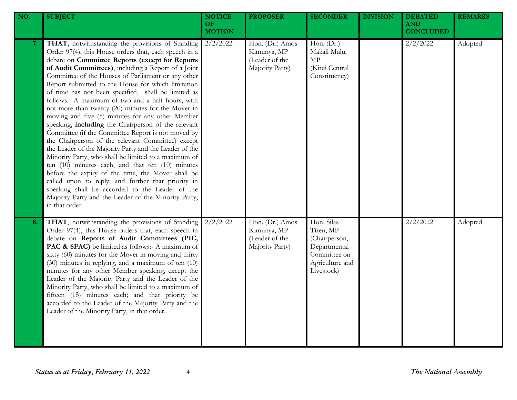| NO. | <b>SUBJECT</b>                                                                                                                                                                                                                                                                                                                                                                                                                                                                                                                                                                                                                                                                                                                                                                                                                                                                                                                                                                                                                                                                                                                            | <b>NOTICE</b><br>OF.<br><b>MOTION</b> | <b>PROPOSER</b>                                                     | <b>SECONDER</b>                                                                                           | <b>DIVISION</b> | <b>DEBATED</b><br><b>AND</b><br><b>CONCLUDED</b> | <b>REMARKS</b> |
|-----|-------------------------------------------------------------------------------------------------------------------------------------------------------------------------------------------------------------------------------------------------------------------------------------------------------------------------------------------------------------------------------------------------------------------------------------------------------------------------------------------------------------------------------------------------------------------------------------------------------------------------------------------------------------------------------------------------------------------------------------------------------------------------------------------------------------------------------------------------------------------------------------------------------------------------------------------------------------------------------------------------------------------------------------------------------------------------------------------------------------------------------------------|---------------------------------------|---------------------------------------------------------------------|-----------------------------------------------------------------------------------------------------------|-----------------|--------------------------------------------------|----------------|
| 7.  | THAT, notwithstanding the provisions of Standing<br>Order 97(4), this House orders that, each speech in a<br>debate on Committee Reports (except for Reports<br>of Audit Committees), including a Report of a Joint<br>Committee of the Houses of Parliament or any other<br>Report submitted to the House for which limitation<br>of time has not been specified, shall be limited as<br>follows:- A maximum of two and a half hours, with<br>not more than twenty (20) minutes for the Mover in<br>moving and five (5) minutes for any other Member<br>speaking, including the Chairperson of the relevant<br>Committee (if the Committee Report is not moved by<br>the Chairperson of the relevant Committee) except<br>the Leader of the Majority Party and the Leader of the<br>Minority Party, who shall be limited to a maximum of<br>ten $(10)$ minutes each, and that ten $(10)$ minutes<br>before the expiry of the time, the Mover shall be<br>called upon to reply; and further that priority in<br>speaking shall be accorded to the Leader of the<br>Majority Party and the Leader of the Minority Party,<br>in that order. | $2/2/\overline{2022}$                 | Hon. (Dr.) Amos<br>Kimunya, MP<br>(Leader of the<br>Majority Party) | Hon. (Dr.)<br>Makali Mulu,<br>$\ensuremath{\mathrm{MP}}$<br>(Kitui Central<br>Constituency)               |                 | 2/2/2022                                         | Adopted        |
| 8.  | THAT, notwithstanding the provisions of Standing<br>Order 97(4), this House orders that, each speech in<br>debate on Reports of Audit Committees (PIC,<br>PAC & SFAC) be limited as follows:- A maximum of<br>sixty (60) minutes for the Mover in moving and thirty<br>(30) minutes in replying, and a maximum of ten (10)<br>minutes for any other Member speaking, except the<br>Leader of the Majority Party and the Leader of the<br>Minority Party, who shall be limited to a maximum of<br>fifteen (15) minutes each; and that priority be<br>accorded to the Leader of the Majority Party and the<br>Leader of the Minority Party, in that order.                                                                                                                                                                                                                                                                                                                                                                                                                                                                                  | 2/2/2022                              | Hon. (Dr.) Amos<br>Kimunya, MP<br>(Leader of the<br>Majority Party) | Hon. Silas<br>Tiren, MP<br>(Chairperson,<br>Departmental<br>Committee on<br>Agriculture and<br>Livestock) |                 | 2/2/2022                                         | Adopted        |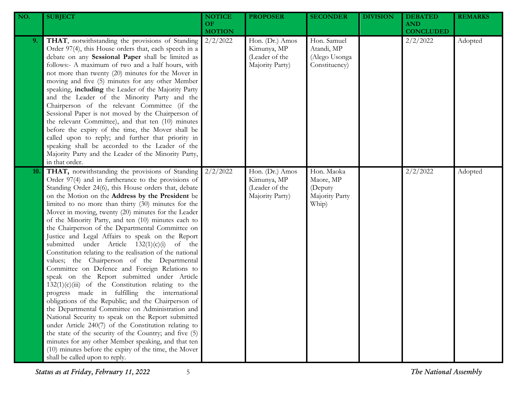| NO. | <b>SUBJECT</b>                                                                                                                                                                                                                                                                                                                                                                                                                                                                                                                                                                                                                                                                                                                                                                                                                                                                                                                                                                                                                                                                                                                                                                                                                                                                                                | <b>NOTICE</b><br><b>OF</b><br><b>MOTION</b> | <b>PROPOSER</b>                                                     | <b>SECONDER</b>                                               | <b>DIVISION</b> | <b>DEBATED</b><br><b>AND</b><br><b>CONCLUDED</b> | <b>REMARKS</b> |
|-----|---------------------------------------------------------------------------------------------------------------------------------------------------------------------------------------------------------------------------------------------------------------------------------------------------------------------------------------------------------------------------------------------------------------------------------------------------------------------------------------------------------------------------------------------------------------------------------------------------------------------------------------------------------------------------------------------------------------------------------------------------------------------------------------------------------------------------------------------------------------------------------------------------------------------------------------------------------------------------------------------------------------------------------------------------------------------------------------------------------------------------------------------------------------------------------------------------------------------------------------------------------------------------------------------------------------|---------------------------------------------|---------------------------------------------------------------------|---------------------------------------------------------------|-----------------|--------------------------------------------------|----------------|
| 9.  | THAT, notwithstanding the provisions of Standing<br>Order 97(4), this House orders that, each speech in a<br>debate on any Sessional Paper shall be limited as<br>follows:- A maximum of two and a half hours, with<br>not more than twenty (20) minutes for the Mover in<br>moving and five (5) minutes for any other Member<br>speaking, including the Leader of the Majority Party<br>and the Leader of the Minority Party and the<br>Chairperson of the relevant Committee (if the<br>Sessional Paper is not moved by the Chairperson of<br>the relevant Committee), and that ten (10) minutes<br>before the expiry of the time, the Mover shall be<br>called upon to reply; and further that priority in<br>speaking shall be accorded to the Leader of the<br>Majority Party and the Leader of the Minority Party,<br>in that order.                                                                                                                                                                                                                                                                                                                                                                                                                                                                    | 2/2/2022                                    | Hon. (Dr.) Amos<br>Kimunya, MP<br>(Leader of the<br>Majority Party) | Hon. Samuel<br>Atandi, MP<br>(Alego Usonga<br>Constituency)   |                 | 2/2/2022                                         | Adopted        |
| 10. | THAT, notwithstanding the provisions of Standing<br>Order 97(4) and in furtherance to the provisions of<br>Standing Order 24(6), this House orders that, debate<br>on the Motion on the Address by the President be<br>limited to no more than thirty (30) minutes for the<br>Mover in moving, twenty (20) minutes for the Leader<br>of the Minority Party, and ten (10) minutes each to<br>the Chairperson of the Departmental Committee on<br>Justice and Legal Affairs to speak on the Report<br>submitted under Article $132(1)(c)(i)$<br>of the<br>Constitution relating to the realisation of the national<br>values; the Chairperson of the Departmental<br>Committee on Defence and Foreign Relations to<br>speak on the Report submitted under Article<br>$132(1)(c)(iii)$ of the Constitution relating to the<br>progress made in fulfilling the international<br>obligations of the Republic; and the Chairperson of<br>the Departmental Committee on Administration and<br>National Security to speak on the Report submitted<br>under Article 240(7) of the Constitution relating to<br>the state of the security of the Country; and five (5)<br>minutes for any other Member speaking, and that ten<br>(10) minutes before the expiry of the time, the Mover<br>shall be called upon to reply. | 2/2/2022                                    | Hon. (Dr.) Amos<br>Kimunya, MP<br>(Leader of the<br>Majority Party) | Hon. Maoka<br>Maore, MP<br>(Deputy<br>Majority Party<br>Whip) |                 | 2/2/2022                                         | Adopted        |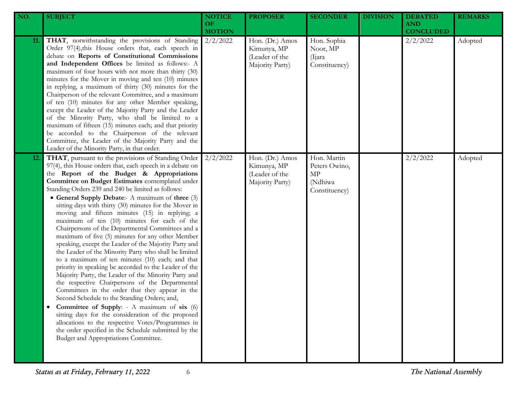| NO.        | <b>SUBJECT</b>                                                                                                                                                                                                                                                                                                                                                                                                                                                                                                                                                                                                                                                                                                                                                                                                                                                                                                                                                                                                                                                                                                                                                                                                                                                                                       | <b>NOTICE</b><br>OF.<br><b>MOTION</b> | <b>PROPOSER</b>                                                     | <b>SECONDER</b>                                                | <b>DIVISION</b> | <b>DEBATED</b><br><b>AND</b><br><b>CONCLUDED</b> | <b>REMARKS</b> |
|------------|------------------------------------------------------------------------------------------------------------------------------------------------------------------------------------------------------------------------------------------------------------------------------------------------------------------------------------------------------------------------------------------------------------------------------------------------------------------------------------------------------------------------------------------------------------------------------------------------------------------------------------------------------------------------------------------------------------------------------------------------------------------------------------------------------------------------------------------------------------------------------------------------------------------------------------------------------------------------------------------------------------------------------------------------------------------------------------------------------------------------------------------------------------------------------------------------------------------------------------------------------------------------------------------------------|---------------------------------------|---------------------------------------------------------------------|----------------------------------------------------------------|-----------------|--------------------------------------------------|----------------|
| 11.        | THAT, notwithstanding the provisions of Standing<br>Order 97(4), this House orders that, each speech in<br>debate on Reports of Constitutional Commissions<br>and Independent Offices be limited as follows:- A<br>maximum of four hours with not more than thirty (30)<br>minutes for the Mover in moving and ten (10) minutes<br>in replying, a maximum of thirty (30) minutes for the<br>Chairperson of the relevant Committee, and a maximum<br>of ten (10) minutes for any other Member speaking,<br>except the Leader of the Majority Party and the Leader<br>of the Minority Party, who shall be limited to a<br>maximum of fifteen (15) minutes each; and that priority<br>be accorded to the Chairperson of the relevant<br>Committee, the Leader of the Majority Party and the<br>Leader of the Minority Party, in that order.                                                                                                                                                                                                                                                                                                                                                                                                                                                             | 2/2/2022                              | Hon. (Dr.) Amos<br>Kimunya, MP<br>(Leader of the<br>Majority Party) | Hon. Sophia<br>Noor, MP<br>(Ijara)<br>Constituency)            |                 | 2/2/2022                                         | Adopted        |
| <b>12.</b> | THAT, pursuant to the provisions of Standing Order<br>97(4), this House orders that, each speech in a debate on<br>the Report of the Budget & Appropriations<br>Committee on Budget Estimates contemplated under<br>Standing Orders 239 and 240 be limited as follows:<br>• General Supply Debate:- A maximum of three (3)<br>sitting days with thirty (30) minutes for the Mover in<br>moving and fifteen minutes (15) in replying; a<br>maximum of ten (10) minutes for each of the<br>Chairpersons of the Departmental Committees and a<br>maximum of five (5) minutes for any other Member<br>speaking, except the Leader of the Majority Party and<br>the Leader of the Minority Party who shall be limited<br>to a maximum of ten minutes (10) each; and that<br>priority in speaking be accorded to the Leader of the<br>Majority Party, the Leader of the Minority Party and<br>the respective Chairpersons of the Departmental<br>Committees in the order that they appear in the<br>Second Schedule to the Standing Orders; and,<br>Committee of Supply: - A maximum of six (6)<br>sitting days for the consideration of the proposed<br>allocations to the respective Votes/Programmes in<br>the order specified in the Schedule submitted by the<br>Budget and Appropriations Committee. | 2/2/2022                              | Hon. (Dr.) Amos<br>Kimunya, MP<br>(Leader of the<br>Majority Party) | Hon. Martin<br>Peters Owino,<br>MP<br>(Ndhiwa<br>Constituency) |                 | 2/2/2022                                         | Adopted        |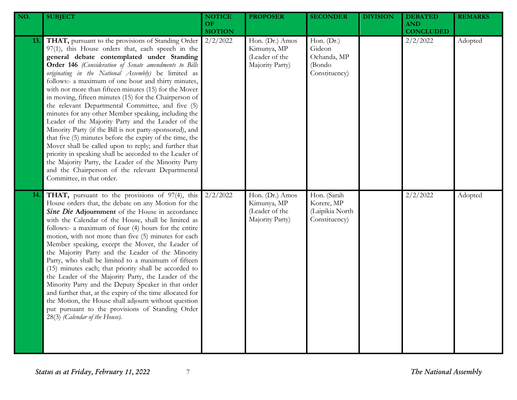| NO. | <b>SUBJECT</b>                                                                                                                                                                                                                                                                                                                                                                                                                                                                                                                                                                                                                                                                                                                                                                                                                                                                                                                                                                                           | <b>NOTICE</b><br><b>OF</b><br><b>MOTION</b> | <b>PROPOSER</b>                                                     | <b>SECONDER</b>                                                | <b>DIVISION</b> | <b>DEBATED</b><br><b>AND</b><br><b>CONCLUDED</b> | <b>REMARKS</b> |
|-----|----------------------------------------------------------------------------------------------------------------------------------------------------------------------------------------------------------------------------------------------------------------------------------------------------------------------------------------------------------------------------------------------------------------------------------------------------------------------------------------------------------------------------------------------------------------------------------------------------------------------------------------------------------------------------------------------------------------------------------------------------------------------------------------------------------------------------------------------------------------------------------------------------------------------------------------------------------------------------------------------------------|---------------------------------------------|---------------------------------------------------------------------|----------------------------------------------------------------|-----------------|--------------------------------------------------|----------------|
| 13. | THAT, pursuant to the provisions of Standing Order<br>97(1), this House orders that, each speech in the<br>general debate contemplated under Standing<br>Order 146 (Consideration of Senate amendments to Bills<br>originating in the National Assembly) be limited as<br>follows:- a maximum of one hour and thirty minutes,<br>with not more than fifteen minutes (15) for the Mover<br>in moving, fifteen minutes (15) for the Chairperson of<br>the relevant Departmental Committee, and five (5)<br>minutes for any other Member speaking, including the<br>Leader of the Majority Party and the Leader of the<br>Minority Party (if the Bill is not party-sponsored), and<br>that five (5) minutes before the expiry of the time, the<br>Mover shall be called upon to reply; and further that<br>priority in speaking shall be accorded to the Leader of<br>the Majority Party, the Leader of the Minority Party<br>and the Chairperson of the relevant Departmental<br>Committee, in that order. | 2/2/2022                                    | Hon. (Dr.) Amos<br>Kimunya, MP<br>(Leader of the<br>Majority Party) | Hon. (Dr.)<br>Gideon<br>Ochanda, MP<br>(Bondo<br>Constituency) |                 | 2/2/2022                                         | Adopted        |
| 14. | <b>THAT</b> , pursuant to the provisions of 97(4), this<br>House orders that, the debate on any Motion for the<br>Sine Die Adjournment of the House in accordance<br>with the Calendar of the House, shall be limited as<br>follows:- a maximum of four (4) hours for the entire<br>motion, with not more than five (5) minutes for each<br>Member speaking, except the Mover, the Leader of<br>the Majority Party and the Leader of the Minority<br>Party, who shall be limited to a maximum of fifteen<br>(15) minutes each; that priority shall be accorded to<br>the Leader of the Majority Party, the Leader of the<br>Minority Party and the Deputy Speaker in that order<br>and further that, at the expiry of the time allocated for<br>the Motion, the House shall adjourn without question<br>put pursuant to the provisions of Standing Order<br>28(3) (Calendar of the House).                                                                                                               | 2/2/2022                                    | Hon. (Dr.) Amos<br>Kimunya, MP<br>(Leader of the<br>Majority Party) | Hon. (Sarah<br>Korere, MP<br>(Laipikia North<br>Constituency)  |                 | 2/2/2022                                         | Adopted        |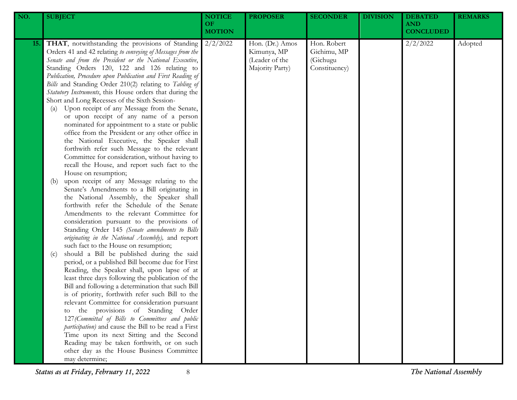| NO.        | <b>SUBJECT</b>                                                                                                                                                                                                                                                                                                                                                                                                                                                                                                                                                                                                                                                                                                                                                                                                                                                                                                                                                                                                                                                                                                                                                                                                                                                                                                                                                                                                                                                                                                                                                                                                                                                                                                                                                                                                                                                                                                                                                                                                                        | <b>NOTICE</b><br>OF<br><b>MOTION</b> | <b>PROPOSER</b>                                                     | <b>SECONDER</b>                                         | <b>DIVISION</b> | <b>DEBATED</b><br><b>AND</b><br><b>CONCLUDED</b> | <b>REMARKS</b> |
|------------|---------------------------------------------------------------------------------------------------------------------------------------------------------------------------------------------------------------------------------------------------------------------------------------------------------------------------------------------------------------------------------------------------------------------------------------------------------------------------------------------------------------------------------------------------------------------------------------------------------------------------------------------------------------------------------------------------------------------------------------------------------------------------------------------------------------------------------------------------------------------------------------------------------------------------------------------------------------------------------------------------------------------------------------------------------------------------------------------------------------------------------------------------------------------------------------------------------------------------------------------------------------------------------------------------------------------------------------------------------------------------------------------------------------------------------------------------------------------------------------------------------------------------------------------------------------------------------------------------------------------------------------------------------------------------------------------------------------------------------------------------------------------------------------------------------------------------------------------------------------------------------------------------------------------------------------------------------------------------------------------------------------------------------------|--------------------------------------|---------------------------------------------------------------------|---------------------------------------------------------|-----------------|--------------------------------------------------|----------------|
| <b>15.</b> | THAT, notwithstanding the provisions of Standing<br>Orders 41 and 42 relating to conveying of Messages from the<br>Senate and from the President or the National Executive,<br>Standing Orders 120, 122 and 126 relating to<br>Publication, Procedure upon Publication and First Reading of<br>Bills and Standing Order 210(2) relating to Tabling of<br>Statutory Instruments, this House orders that during the<br>Short and Long Recesses of the Sixth Session-<br>Upon receipt of any Message from the Senate,<br>(a)<br>or upon receipt of any name of a person<br>nominated for appointment to a state or public<br>office from the President or any other office in<br>the National Executive, the Speaker shall<br>forthwith refer such Message to the relevant<br>Committee for consideration, without having to<br>recall the House, and report such fact to the<br>House on resumption;<br>upon receipt of any Message relating to the<br>(b)<br>Senate's Amendments to a Bill originating in<br>the National Assembly, the Speaker shall<br>forthwith refer the Schedule of the Senate<br>Amendments to the relevant Committee for<br>consideration pursuant to the provisions of<br>Standing Order 145 (Senate amendments to Bills<br>originating in the National Assembly), and report<br>such fact to the House on resumption;<br>should a Bill be published during the said<br>(c)<br>period, or a published Bill become due for First<br>Reading, the Speaker shall, upon lapse of at<br>least three days following the publication of the<br>Bill and following a determination that such Bill<br>is of priority, forthwith refer such Bill to the<br>relevant Committee for consideration pursuant<br>the provisions of Standing Order<br>to<br>127 (Committal of Bills to Committees and public<br>participation) and cause the Bill to be read a First<br>Time upon its next Sitting and the Second<br>Reading may be taken forthwith, or on such<br>other day as the House Business Committee<br>may determine; | 2/2/2022                             | Hon. (Dr.) Amos<br>Kimunya, MP<br>(Leader of the<br>Majority Party) | Hon. Robert<br>Gichimu, MP<br>(Gichugu<br>Constituency) |                 | 2/2/2022                                         | Adopted        |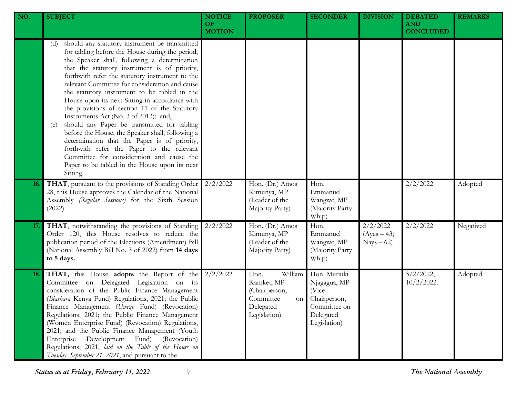| NO.        | <b>SUBJECT</b>                                                                                                                                                                                                                                                                                                                                                                                                                                                                                                                                                                                                                                                                                                                                                                                                              | <b>NOTICE</b><br><b>OF</b><br><b>MOTION</b> | <b>PROPOSER</b>                                                                                | <b>SECONDER</b>                                                                                     | <b>DIVISION</b>                          | <b>DEBATED</b><br><b>AND</b><br><b>CONCLUDED</b> | <b>REMARKS</b> |
|------------|-----------------------------------------------------------------------------------------------------------------------------------------------------------------------------------------------------------------------------------------------------------------------------------------------------------------------------------------------------------------------------------------------------------------------------------------------------------------------------------------------------------------------------------------------------------------------------------------------------------------------------------------------------------------------------------------------------------------------------------------------------------------------------------------------------------------------------|---------------------------------------------|------------------------------------------------------------------------------------------------|-----------------------------------------------------------------------------------------------------|------------------------------------------|--------------------------------------------------|----------------|
|            | should any statutory instrument be transmitted<br>(d)<br>for tabling before the House during the period,<br>the Speaker shall, following a determination<br>that the statutory instrument is of priority,<br>forthwith refer the statutory instrument to the<br>relevant Committee for consideration and cause<br>the statutory instrument to be tabled in the<br>House upon its next Sitting in accordance with<br>the provisions of section 11 of the Statutory<br>Instruments Act (No. 3 of 2013); and,<br>should any Paper be transmitted for tabling<br>(e)<br>before the House, the Speaker shall, following a<br>determination that the Paper is of priority,<br>forthwith refer the Paper to the relevant<br>Committee for consideration and cause the<br>Paper to be tabled in the House upon its next<br>Sitting. |                                             |                                                                                                |                                                                                                     |                                          |                                                  |                |
| <b>16.</b> | THAT, pursuant to the provisions of Standing Order<br>28, this House approves the Calendar of the National<br>Assembly (Regular Sessions) for the Sixth Session<br>(2022).                                                                                                                                                                                                                                                                                                                                                                                                                                                                                                                                                                                                                                                  | 2/2/2022                                    | Hon. (Dr.) Amos<br>Kimunya, MP<br>(Leader of the<br>Majority Party)                            | Hon.<br>Emmanuel<br>Wangwe, MP<br>(Majority Party<br>Whip)                                          |                                          | 2/2/2022                                         | Adopted        |
| 17.        | THAT, notwithstanding the provisions of Standing<br>Order 120, this House resolves to reduce the<br>publication period of the Elections (Amendment) Bill<br>(National Assembly Bill No. 3 of 2022) from 14 days<br>to 5 days.                                                                                                                                                                                                                                                                                                                                                                                                                                                                                                                                                                                               | 2/2/2022                                    | Hon. (Dr.) Amos<br>Kimunya, MP<br>(Leader of the<br>Majority Party)                            | Hon.<br>Emmanuel<br>Wangwe, MP<br>(Majority Party<br>Whip)                                          | 2/2/2022<br>$(Ayes - 43;$<br>$Nays - 62$ | 2/2/2022                                         | Negatived      |
| 18.        | THAT, this House adopts the Report of the<br>Committee on Delegated Legislation on its<br>consideration of the Public Finance Management<br>(Biashara Kenya Fund) Regulations, 2021; the Public<br>Finance Management (Uwezo Fund) (Revocation)<br>Regulations, 2021; the Public Finance Management<br>(Women Enterprise Fund) (Revocation) Regulations,<br>2021; and the Public Finance Management (Youth<br>(Revocation)<br>Enterprise<br>Development<br>Fund)<br>Regulations, 2021, laid on the Table of the House on<br>Tuesday, September 21, 2021, and pursuant to the                                                                                                                                                                                                                                                | 2/2/2022                                    | Hon.<br>William<br>Kamket, MP<br>(Chairperson,<br>Committee<br>on<br>Delegated<br>Legislation) | Hon. Muriuki<br>Njagagua, MP<br>(Vice-<br>Chairperson,<br>Committee on<br>Delegated<br>Legislation) |                                          | 3/2/2022;<br>$10/2/2022$ .                       | Adopted        |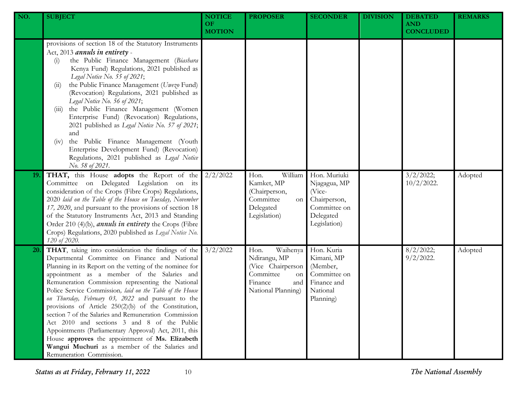| NO. | <b>SUBJECT</b>                                                                                                                                                                                                                                                                                                                                                                                                                                                                                                                                                                                                                                                                                                                                     | <b>NOTICE</b><br>OF.<br><b>MOTION</b> | <b>PROPOSER</b>                                                                                                  | <b>SECONDER</b>                                                                                     | <b>DIVISION</b> | <b>DEBATED</b><br><b>AND</b><br><b>CONCLUDED</b> | <b>REMARKS</b> |
|-----|----------------------------------------------------------------------------------------------------------------------------------------------------------------------------------------------------------------------------------------------------------------------------------------------------------------------------------------------------------------------------------------------------------------------------------------------------------------------------------------------------------------------------------------------------------------------------------------------------------------------------------------------------------------------------------------------------------------------------------------------------|---------------------------------------|------------------------------------------------------------------------------------------------------------------|-----------------------------------------------------------------------------------------------------|-----------------|--------------------------------------------------|----------------|
|     | provisions of section 18 of the Statutory Instruments<br>Act, 2013 annuls in entirety -<br>the Public Finance Management (Biashara<br>(i)<br>Kenya Fund) Regulations, 2021 published as<br>Legal Notice No. 55 of 2021;<br>the Public Finance Management (Uwezo Fund)<br>(11)<br>(Revocation) Regulations, 2021 published as<br>Legal Notice No. 56 of 2021;<br>the Public Finance Management (Women<br>(111)<br>Enterprise Fund) (Revocation) Regulations,<br>2021 published as Legal Notice No. 57 of 2021;<br>and<br>the Public Finance Management (Youth<br>(iv)<br>Enterprise Development Fund) (Revocation)<br>Regulations, 2021 published as Legal Notice<br>No. 58 of 2021.                                                                |                                       |                                                                                                                  |                                                                                                     |                 |                                                  |                |
| 19. | THAT, this House adopts the Report of the<br>Committee on Delegated Legislation on its<br>consideration of the Crops (Fibre Crops) Regulations,<br>2020 laid on the Table of the House on Tuesday, November<br>17, 2020, and pursuant to the provisions of section 18<br>of the Statutory Instruments Act, 2013 and Standing<br>Order 210 (4)(b), <i>annuls in entirety</i> the Crops (Fibre<br>Crops) Regulations, 2020 published as Legal Notice No.<br>120 of 2020.                                                                                                                                                                                                                                                                             | 2/2/2022                              | William<br>Hon.<br>Kamket, MP<br>(Chairperson,<br>Committee<br>on<br>Delegated<br>Legislation)                   | Hon. Muriuki<br>Njagagua, MP<br>(Vice-<br>Chairperson,<br>Committee on<br>Delegated<br>Legislation) |                 | 3/2/2022;<br>$10/2/2022$ .                       | Adopted        |
| 20. | THAT, taking into consideration the findings of the<br>Departmental Committee on Finance and National<br>Planning in its Report on the vetting of the nominee for<br>appointment as a member of the Salaries and<br>Remuneration Commission representing the National<br>Police Service Commission, laid on the Table of the House<br>on Thursday, February 03, 2022 and pursuant to the<br>provisions of Article 250(2)(b) of the Constitution,<br>section 7 of the Salaries and Remuneration Commission<br>Act 2010 and sections 3 and 8 of the Public<br>Appointments (Parliamentary Approval) Act, 2011, this<br>House approves the appointment of Ms. Elizabeth<br>Wangui Muchuri as a member of the Salaries and<br>Remuneration Commission. | 3/2/2022                              | Waihenya<br>Hon.<br>Ndirangu, MP<br>(Vice Chairperson<br>Committee<br>on<br>Finance<br>and<br>National Planning) | Hon. Kuria<br>Kimani, MP<br>(Member,<br>Committee on<br>Finance and<br>National<br>Planning)        |                 | 8/2/2022;<br>$9/2/2022$ .                        | Adopted        |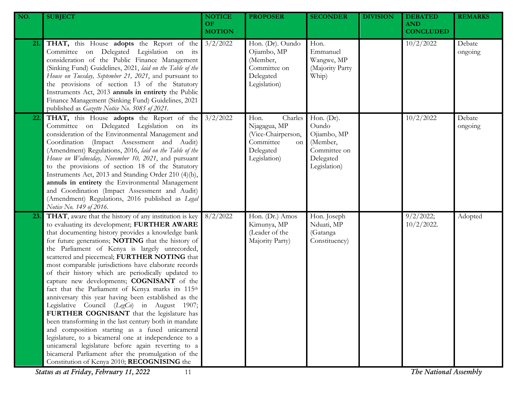| NO. | <b>SUBJECT</b>                                                                                                                                                                                                                                                                                                                                                                                                                                                                                                                                                                                                                                                                                                                                                                                                                                                                                                                                                                                                           | <b>NOTICE</b><br>OF.<br><b>MOTION</b> | <b>PROPOSER</b>                                                                                       | <b>SECONDER</b>                                                                                | <b>DIVISION</b> | <b>DEBATED</b><br><b>AND</b><br><b>CONCLUDED</b> | <b>REMARKS</b>    |
|-----|--------------------------------------------------------------------------------------------------------------------------------------------------------------------------------------------------------------------------------------------------------------------------------------------------------------------------------------------------------------------------------------------------------------------------------------------------------------------------------------------------------------------------------------------------------------------------------------------------------------------------------------------------------------------------------------------------------------------------------------------------------------------------------------------------------------------------------------------------------------------------------------------------------------------------------------------------------------------------------------------------------------------------|---------------------------------------|-------------------------------------------------------------------------------------------------------|------------------------------------------------------------------------------------------------|-----------------|--------------------------------------------------|-------------------|
| 21. | THAT, this House adopts the Report of the<br>Committee on Delegated Legislation on its<br>consideration of the Public Finance Management<br>(Sinking Fund) Guidelines, 2021, laid on the Table of the<br>House on Tuesday, September 21, 2021, and pursuant to<br>the provisions of section 13 of the Statutory<br>Instruments Act, 2013 annuls in entirety the Public<br>Finance Management (Sinking Fund) Guidelines, 2021<br>published as Gazette Notice No. 5085 of 2021.                                                                                                                                                                                                                                                                                                                                                                                                                                                                                                                                            | 3/2/2022                              | Hon. (Dr). Oundo<br>Ojiambo, MP<br>(Member,<br>Committee on<br>Delegated<br>Legislation)              | Hon.<br>Emmanuel<br>Wangwe, MP<br>(Majority Party<br>Whip)                                     |                 | 10/2/2022                                        | Debate<br>ongoing |
| 22. | THAT, this House adopts the Report of the<br>Committee on Delegated Legislation on its<br>consideration of the Environmental Management and<br>Coordination (Impact Assessment and Audit)<br>(Amendment) Regulations, 2016, laid on the Table of the<br>House on Wednesday, November 10, 2021, and pursuant<br>to the provisions of section 18 of the Statutory<br>Instruments Act, 2013 and Standing Order 210 (4)(b),<br>annuls in entirety the Environmental Management<br>and Coordination (Impact Assessment and Audit)<br>(Amendment) Regulations, 2016 published as Legal<br>Notice No. 149 of 2016.                                                                                                                                                                                                                                                                                                                                                                                                              | 3/2/2022                              | Charles<br>Hon.<br>Njagagua, MP<br>(Vice-Chairperson,<br>Committee<br>on<br>Delegated<br>Legislation) | Hon. $(Dr)$ .<br>Oundo<br>Ojiambo, MP<br>(Member,<br>Committee on<br>Delegated<br>Legislation) |                 | 10/2/2022                                        | Debate<br>ongoing |
| 23. | THAT, aware that the history of any institution is key<br>to evaluating its development; FURTHER AWARE<br>that documenting history provides a knowledge bank<br>for future generations; NOTING that the history of<br>the Parliament of Kenya is largely unrecorded,<br>scattered and piecemeal; FURTHER NOTING that<br>most comparable jurisdictions have elaborate records<br>of their history which are periodically updated to<br>capture new developments; COGNISANT of the<br>fact that the Parliament of Kenya marks its 115th<br>anniversary this year having been established as the<br>Legislative Council (LegCo) in August 1907;<br>FURTHER COGNISANT that the legislature has<br>been transforming in the last century both in mandate<br>and composition starting as a fused unicameral<br>legislature, to a bicameral one at independence to a<br>unicameral legislature before again reverting to a<br>bicameral Parliament after the promulgation of the<br>Constitution of Kenya 2010; RECOGNISING the | 8/2/2022                              | Hon. (Dr.) Amos<br>Kimunya, MP<br>(Leader of the<br>Majority Party)                                   | Hon. Joseph<br>Nduati, MP<br>(Gatanga<br>Constituency)                                         |                 | 9/2/2022;<br>$10/2/2022$ .                       | Adopted           |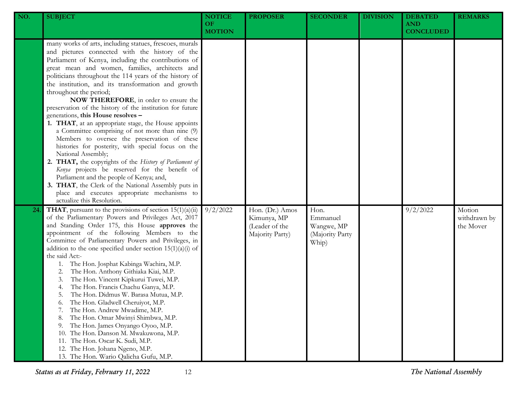| NO. | <b>SUBJECT</b>                                                                                                                                                                                                                                                                                                                                                                                                                                                                                                                                                                                                                                                                                                                                                                                                                                                                                                                                                                                                                                | <b>NOTICE</b><br>OF.<br><b>MOTION</b> | <b>PROPOSER</b>                                                     | <b>SECONDER</b>                                            | <b>DIVISION</b> | <b>DEBATED</b><br><b>AND</b><br><b>CONCLUDED</b> | <b>REMARKS</b>                      |
|-----|-----------------------------------------------------------------------------------------------------------------------------------------------------------------------------------------------------------------------------------------------------------------------------------------------------------------------------------------------------------------------------------------------------------------------------------------------------------------------------------------------------------------------------------------------------------------------------------------------------------------------------------------------------------------------------------------------------------------------------------------------------------------------------------------------------------------------------------------------------------------------------------------------------------------------------------------------------------------------------------------------------------------------------------------------|---------------------------------------|---------------------------------------------------------------------|------------------------------------------------------------|-----------------|--------------------------------------------------|-------------------------------------|
|     | many works of arts, including statues, frescoes, murals<br>and pictures connected with the history of the<br>Parliament of Kenya, including the contributions of<br>great mean and women, families, architects and<br>politicians throughout the 114 years of the history of<br>the institution, and its transformation and growth<br>throughout the period;<br>NOW THEREFORE, in order to ensure the<br>preservation of the history of the institution for future<br>generations, this House resolves -<br>1. THAT, at an appropriate stage, the House appoints<br>a Committee comprising of not more than nine (9)<br>Members to oversee the preservation of these<br>histories for posterity, with special focus on the<br>National Assembly;<br>2. THAT, the copyrights of the History of Parliament of<br>Kenya projects be reserved for the benefit of<br>Parliament and the people of Kenya; and,<br>3. THAT, the Clerk of the National Assembly puts in<br>place and executes appropriate mechanisms to<br>actualize this Resolution. |                                       |                                                                     |                                                            |                 |                                                  |                                     |
| 24  | <b>THAT</b> , pursuant to the provisions of section $15(1)(a)(ii)$<br>of the Parliamentary Powers and Privileges Act, 2017<br>and Standing Order 175, this House approves the<br>appointment of the following Members to the<br>Committee of Parliamentary Powers and Privileges, in<br>addition to the one specified under section $15(1)(a)(i)$ of<br>the said Act:-<br>The Hon. Josphat Kabinga Wachira, M.P.<br>1.<br>The Hon. Anthony Githiaka Kiai, M.P.<br>2.<br>The Hon. Vincent Kipkurui Tuwei, M.P.<br>3.<br>The Hon. Francis Chachu Ganya, M.P.<br>4.<br>The Hon. Didmus W. Barasa Mutua, M.P.<br>5.<br>The Hon. Gladwell Cheruiyot, M.P.<br>6.<br>The Hon. Andrew Mwadime, M.P.<br>7.<br>The Hon. Omar Mwinyi Shimbwa, M.P.<br>8.<br>The Hon. James Onyango Oyoo, M.P.<br>9.<br>The Hon. Danson M. Mwakuwona, M.P.<br>10.<br>The Hon. Oscar K. Sudi, M.P.<br>11.<br>12. The Hon. Johana Ngeno, M.P.<br>13. The Hon. Wario Qalicha Gufu, M.P.                                                                                      | 9/2/2022                              | Hon. (Dr.) Amos<br>Kimunya, MP<br>(Leader of the<br>Majority Party) | Hon.<br>Emmanuel<br>Wangwe, MP<br>(Majority Party<br>Whip) |                 | 9/2/2022                                         | Motion<br>withdrawn by<br>the Mover |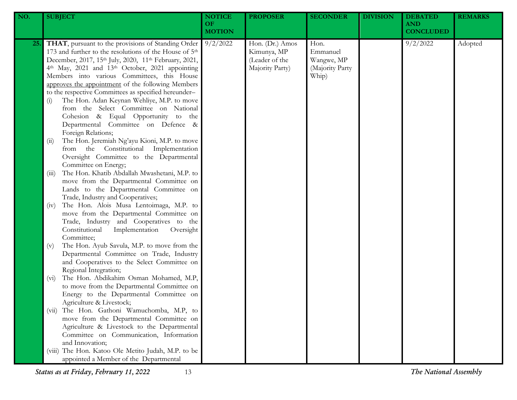| NO. | <b>SUBJECT</b>                                                                                                                                                                                                                                                                                                                                                                                                                                                                                                                                                                                                                                            | <b>NOTICE</b><br>OF<br><b>MOTION</b> | <b>PROPOSER</b>                                                     | <b>SECONDER</b>                                            | <b>DIVISION</b> | <b>DEBATED</b><br><b>AND</b><br><b>CONCLUDED</b> | <b>REMARKS</b> |
|-----|-----------------------------------------------------------------------------------------------------------------------------------------------------------------------------------------------------------------------------------------------------------------------------------------------------------------------------------------------------------------------------------------------------------------------------------------------------------------------------------------------------------------------------------------------------------------------------------------------------------------------------------------------------------|--------------------------------------|---------------------------------------------------------------------|------------------------------------------------------------|-----------------|--------------------------------------------------|----------------|
| 25. | THAT, pursuant to the provisions of Standing Order<br>173 and further to the resolutions of the House of 5 <sup>th</sup><br>December, 2017, 15th July, 2020, 11th February, 2021,<br>4th May, 2021 and 13th October, 2021 appointing<br>Members into various Committees, this House<br>approves the appointment of the following Members<br>to the respective Committees as specified hereunder-<br>The Hon. Adan Keynan Wehliye, M.P. to move<br>(i)<br>from the Select Committee on National<br>Cohesion & Equal Opportunity to the<br>Departmental Committee on Defence &<br>Foreign Relations;<br>The Hon. Jeremiah Ng'ayu Kioni, M.P. to move<br>(i) | 9/2/2022                             | Hon. (Dr.) Amos<br>Kimunya, MP<br>(Leader of the<br>Majority Party) | Hon.<br>Emmanuel<br>Wangwe, MP<br>(Majority Party<br>Whip) |                 | 9/2/2022                                         | Adopted        |
|     | from the Constitutional Implementation<br>Oversight Committee to the Departmental<br>Committee on Energy;<br>The Hon. Khatib Abdallah Mwashetani, M.P. to<br>(iii)<br>move from the Departmental Committee on<br>Lands to the Departmental Committee on<br>Trade, Industry and Cooperatives;                                                                                                                                                                                                                                                                                                                                                              |                                      |                                                                     |                                                            |                 |                                                  |                |
|     | The Hon. Alois Musa Lentoimaga, M.P. to<br>(iv)<br>move from the Departmental Committee on<br>Trade, Industry and Cooperatives to the<br>Constitutional<br>Implementation<br>Oversight<br>Committee;                                                                                                                                                                                                                                                                                                                                                                                                                                                      |                                      |                                                                     |                                                            |                 |                                                  |                |
|     | The Hon. Ayub Savula, M.P. to move from the<br>(v)<br>Departmental Committee on Trade, Industry<br>and Cooperatives to the Select Committee on<br>Regional Integration;<br>The Hon. Abdikahim Osman Mohamed, M.P,<br>$(v_i)$<br>to move from the Departmental Committee on                                                                                                                                                                                                                                                                                                                                                                                |                                      |                                                                     |                                                            |                 |                                                  |                |
|     | Energy to the Departmental Committee on<br>Agriculture & Livestock;<br>The Hon. Gathoni Wamuchomba, M.P, to<br>(V11)<br>move from the Departmental Committee on<br>Agriculture & Livestock to the Departmental<br>Committee on Communication, Information                                                                                                                                                                                                                                                                                                                                                                                                 |                                      |                                                                     |                                                            |                 |                                                  |                |
|     | and Innovation;<br>(viii) The Hon. Katoo Ole Metito Judah, M.P. to be<br>appointed a Member of the Departmental                                                                                                                                                                                                                                                                                                                                                                                                                                                                                                                                           |                                      |                                                                     |                                                            |                 |                                                  |                |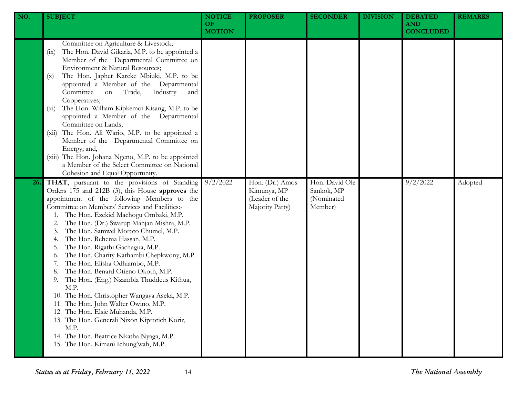| NO. | <b>SUBJECT</b>                                                                                                                                                                                                                                                                                                                                                                                                                                                                                                                                                                                                                                                                                                                                                                                                                                                  | <b>NOTICE</b><br><b>OF</b><br><b>MOTION</b> | <b>PROPOSER</b>                                                     | <b>SECONDER</b>                                       | <b>DIVISION</b> | <b>DEBATED</b><br><b>AND</b><br><b>CONCLUDED</b> | <b>REMARKS</b> |
|-----|-----------------------------------------------------------------------------------------------------------------------------------------------------------------------------------------------------------------------------------------------------------------------------------------------------------------------------------------------------------------------------------------------------------------------------------------------------------------------------------------------------------------------------------------------------------------------------------------------------------------------------------------------------------------------------------------------------------------------------------------------------------------------------------------------------------------------------------------------------------------|---------------------------------------------|---------------------------------------------------------------------|-------------------------------------------------------|-----------------|--------------------------------------------------|----------------|
|     | Committee on Agriculture & Livestock;<br>The Hon. David Gikaria, M.P. to be appointed a<br>(ix)<br>Member of the Departmental Committee on<br>Environment & Natural Resources;<br>The Hon. Japhet Kareke Mbiuki, M.P. to be<br>(x)<br>appointed a Member of the Departmental<br>Committee<br>Industry<br>Trade,<br>on<br>and<br>Cooperatives;<br>The Hon. William Kipkemoi Kisang, M.P. to be<br>$(x_i)$<br>appointed a Member of the Departmental<br>Committee on Lands;<br>The Hon. Ali Wario, M.P. to be appointed a<br>(xii)<br>Member of the Departmental Committee on<br>Energy; and,<br>(xiii) The Hon. Johana Ngeno, M.P. to be appointed<br>a Member of the Select Committee on National<br>Cohesion and Equal Opportunity.                                                                                                                            |                                             |                                                                     |                                                       |                 |                                                  |                |
| 26. | THAT, pursuant to the provisions of Standing<br>Orders 175 and 212B (3), this House approves the<br>appointment of the following Members to the<br>Committee on Members' Services and Facilities:-<br>The Hon. Ezekiel Machogu Ombaki, M.P.<br>The Hon. (Dr.) Swarup Manjan Mishra, M.P.<br>The Hon. Samwel Moroto Chumel, M.P.<br>The Hon. Rehema Hassan, M.P.<br>The Hon. Rigathi Gachagua, M.P.<br>The Hon. Charity Kathambi Chepkwony, M.P.<br>0.<br>The Hon. Elisha Odhiambo, M.P.<br>The Hon. Benard Otieno Okoth, M.P.<br>The Hon. (Eng.) Nzambia Thuddeus Kithua,<br>9.<br>M.P.<br>10. The Hon. Christopher Wangaya Aseka, M.P.<br>11. The Hon. John Walter Owino, M.P.<br>12. The Hon. Elsie Muhanda, M.P.<br>13. The Hon. Generali Nixon Kiprotich Korir,<br>M.P.<br>14. The Hon. Beatrice Nkatha Nyaga, M.P.<br>15. The Hon. Kimani Ichung'wah, M.P. | 9/2/2022                                    | Hon. (Dr.) Amos<br>Kimunya, MP<br>(Leader of the<br>Majority Party) | Hon. David Ole<br>Sankok, MP<br>(Nominated<br>Member) |                 | 9/2/2022                                         | Adopted        |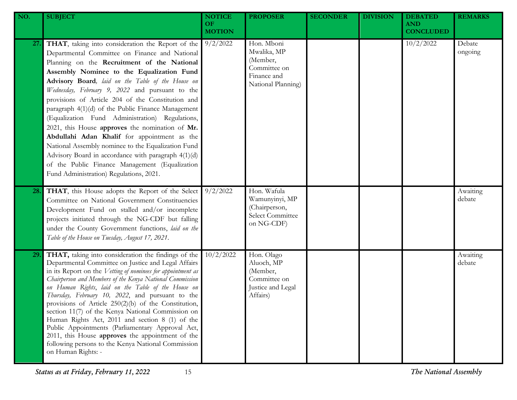| NO. | <b>SUBJECT</b>                                                                                                                                                                                                                                                                                                                                                                                                                                                                                                                                                                                                                                                                                                                                                                     | <b>NOTICE</b><br>OF.<br><b>MOTION</b> | <b>PROPOSER</b>                                                                            | <b>SECONDER</b> | <b>DIVISION</b> | <b>DEBATED</b><br><b>AND</b><br><b>CONCLUDED</b> | <b>REMARKS</b>     |
|-----|------------------------------------------------------------------------------------------------------------------------------------------------------------------------------------------------------------------------------------------------------------------------------------------------------------------------------------------------------------------------------------------------------------------------------------------------------------------------------------------------------------------------------------------------------------------------------------------------------------------------------------------------------------------------------------------------------------------------------------------------------------------------------------|---------------------------------------|--------------------------------------------------------------------------------------------|-----------------|-----------------|--------------------------------------------------|--------------------|
| 27. | THAT, taking into consideration the Report of the<br>Departmental Committee on Finance and National<br>Planning on the Recruitment of the National<br>Assembly Nominee to the Equalization Fund<br>Advisory Board, laid on the Table of the House on<br>Wednesday, February 9, 2022 and pursuant to the<br>provisions of Article 204 of the Constitution and<br>paragraph 4(1)(d) of the Public Finance Management<br>(Equalization Fund Administration) Regulations,<br>2021, this House approves the nomination of Mr.<br>Abdullahi Adan Khalif for appointment as the<br>National Assembly nominee to the Equalization Fund<br>Advisory Board in accordance with paragraph 4(1)(d)<br>of the Public Finance Management (Equalization<br>Fund Administration) Regulations, 2021. | 9/2/2022                              | Hon. Mboni<br>Mwalika, MP<br>(Member,<br>Committee on<br>Finance and<br>National Planning) |                 |                 | 10/2/2022                                        | Debate<br>ongoing  |
| 28. | THAT, this House adopts the Report of the Select<br>Committee on National Government Constituencies<br>Development Fund on stalled and/or incomplete<br>projects initiated through the NG-CDF but falling<br>under the County Government functions, laid on the<br>Table of the House on Tuesday, August 17, 2021.                                                                                                                                                                                                                                                                                                                                                                                                                                                                 | 9/2/2022                              | Hon. Wafula<br>Wamunyinyi, MP<br>(Chairperson,<br>Select Committee<br>on NG-CDF)           |                 |                 |                                                  | Awaiting<br>debate |
| 29. | THAT, taking into consideration the findings of the<br>Departmental Committee on Justice and Legal Affairs<br>in its Report on the Vetting of nominees for appointment as<br>Chairperson and Members of the Kenya National Commission<br>on Human Rights, laid on the Table of the House on<br>Thursday, February 10, 2022, and pursuant to the<br>provisions of Article $250(2)(b)$ of the Constitution,<br>section 11(7) of the Kenya National Commission on<br>Human Rights Act, 2011 and section 8 (1) of the<br>Public Appointments (Parliamentary Approval Act,<br>2011, this House approves the appointment of the<br>following persons to the Kenya National Commission<br>on Human Rights: -                                                                              | 10/2/2022                             | Hon. Olago<br>Aluoch, MP<br>(Member,<br>Committee on<br>Justice and Legal<br>Affairs)      |                 |                 |                                                  | Awaiting<br>debate |